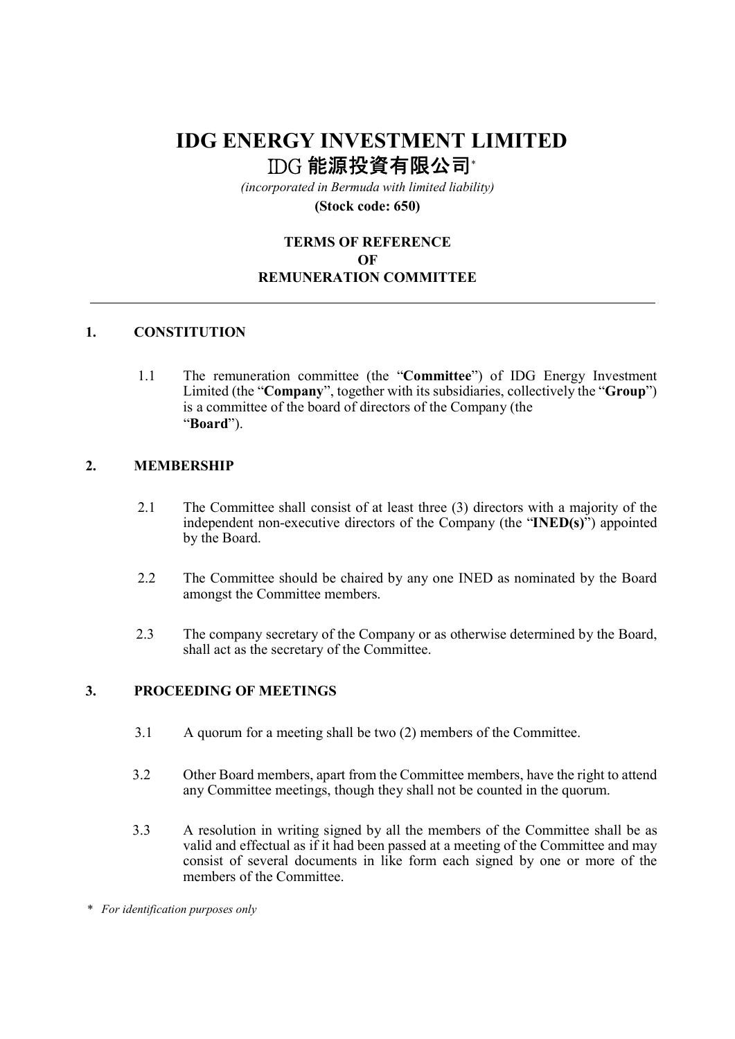# IDG ENERGY INVESTMENT LIMITED IDG 能源投資有限公司\*

(incorporated in Bermuda with limited liability)

(Stock code: 650)

# TERMS OF REFERENCE OF REMUNERATION COMMITTEE

## 1. CONSTITUTION

1.1 The remuneration committee (the "Committee") of IDG Energy Investment Limited (the "Company", together with its subsidiaries, collectively the "Group") is a committee of the board of directors of the Company (the "Board").

#### 2. MEMBERSHIP

- 2.1 The Committee shall consist of at least three (3) directors with a majority of the independent non-executive directors of the Company (the "INED(s)") appointed by the Board.
- 2.2 The Committee should be chaired by any one INED as nominated by the Board amongst the Committee members.
- 2.3 The company secretary of the Company or as otherwise determined by the Board, shall act as the secretary of the Committee.

### 3. PROCEEDING OF MEETINGS

- 3.1 A quorum for a meeting shall be two (2) members of the Committee.
- 3.2 Other Board members, apart from the Committee members, have the right to attend any Committee meetings, though they shall not be counted in the quorum.
- 3.3 A resolution in writing signed by all the members of the Committee shall be as valid and effectual as if it had been passed at a meeting of the Committee and may consist of several documents in like form each signed by one or more of the members of the Committee.

<sup>\*</sup> For identification purposes only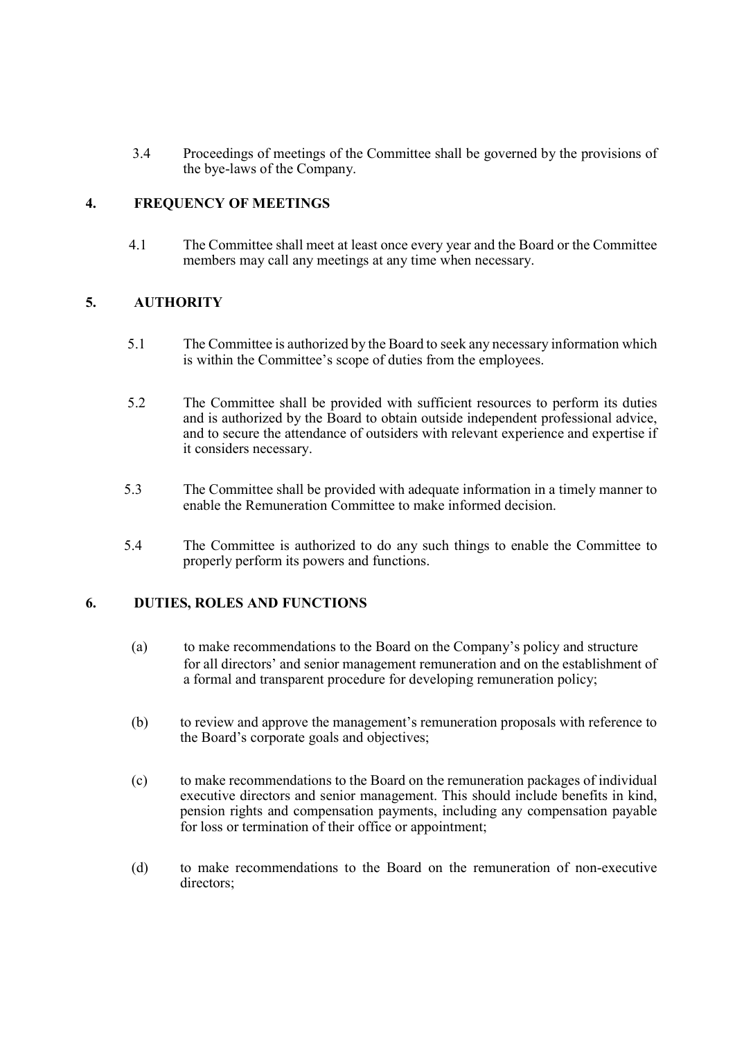3.4 Proceedings of meetings of the Committee shall be governed by the provisions of the bye-laws of the Company.

## 4. FREQUENCY OF MEETINGS

4.1 The Committee shall meet at least once every year and the Board or the Committee members may call any meetings at any time when necessary.

## 5. AUTHORITY

- 5.1 The Committee is authorized by the Board to seek any necessary information which is within the Committee's scope of duties from the employees.
- 5.2 The Committee shall be provided with sufficient resources to perform its duties and is authorized by the Board to obtain outside independent professional advice, and to secure the attendance of outsiders with relevant experience and expertise if it considers necessary.
- 5.3 The Committee shall be provided with adequate information in a timely manner to enable the Remuneration Committee to make informed decision.
- 5.4 The Committee is authorized to do any such things to enable the Committee to properly perform its powers and functions.

#### 6. DUTIES, ROLES AND FUNCTIONS

- (a) to make recommendations to the Board on the Company's policy and structure for all directors' and senior management remuneration and on the establishment of a formal and transparent procedure for developing remuneration policy;
- (b) to review and approve the management's remuneration proposals with reference to the Board's corporate goals and objectives;
- (c) to make recommendations to the Board on the remuneration packages of individual executive directors and senior management. This should include benefits in kind, pension rights and compensation payments, including any compensation payable for loss or termination of their office or appointment;
- (d) to make recommendations to the Board on the remuneration of non-executive directors;